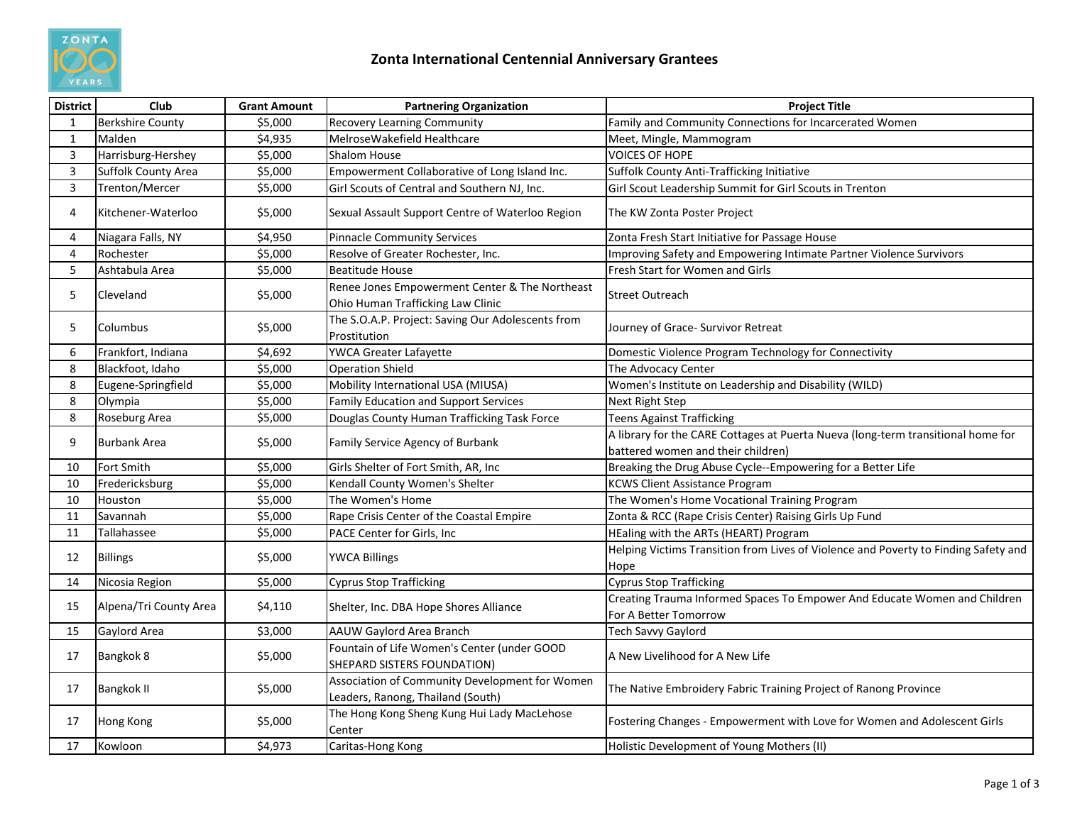

| <b>District</b> | Club                    | <b>Grant Amount</b> | <b>Partnering Organization</b>                                                      | <b>Project Title</b>                                                                                                   |
|-----------------|-------------------------|---------------------|-------------------------------------------------------------------------------------|------------------------------------------------------------------------------------------------------------------------|
| $\mathbf{1}$    | <b>Berkshire County</b> | \$5,000             | <b>Recovery Learning Community</b>                                                  | Family and Community Connections for Incarcerated Women                                                                |
| $\mathbf{1}$    | Malden                  | \$4,935             | MelroseWakefield Healthcare                                                         | Meet, Mingle, Mammogram                                                                                                |
| 3               | Harrisburg-Hershey      | \$5,000             | <b>Shalom House</b>                                                                 | <b>VOICES OF HOPE</b>                                                                                                  |
| 3               | Suffolk County Area     | \$5,000             | Empowerment Collaborative of Long Island Inc.                                       | Suffolk County Anti-Trafficking Initiative                                                                             |
| 3               | Trenton/Mercer          | \$5,000             | Girl Scouts of Central and Southern NJ. Inc.                                        | Girl Scout Leadership Summit for Girl Scouts in Trenton                                                                |
| 4               | Kitchener-Waterloo      | \$5,000             | Sexual Assault Support Centre of Waterloo Region                                    | The KW Zonta Poster Project                                                                                            |
| 4               | Niagara Falls, NY       | \$4,950             | <b>Pinnacle Community Services</b>                                                  | Zonta Fresh Start Initiative for Passage House                                                                         |
| 4               | Rochester               | \$5,000             | Resolve of Greater Rochester, Inc.                                                  | Improving Safety and Empowering Intimate Partner Violence Survivors                                                    |
| 5               | Ashtabula Area          | \$5,000             | <b>Beatitude House</b>                                                              | Fresh Start for Women and Girls                                                                                        |
| 5               | Cleveland               | \$5,000             | Renee Jones Empowerment Center & The Northeast<br>Ohio Human Trafficking Law Clinic | <b>Street Outreach</b>                                                                                                 |
| 5               | Columbus                | \$5,000             | The S.O.A.P. Project: Saving Our Adolescents from<br>Prostitution                   | Journey of Grace- Survivor Retreat                                                                                     |
| 6               | Frankfort, Indiana      | \$4,692             | YWCA Greater Lafayette                                                              | Domestic Violence Program Technology for Connectivity                                                                  |
| 8               | Blackfoot, Idaho        | \$5,000             | <b>Operation Shield</b>                                                             | The Advocacy Center                                                                                                    |
| 8               | Eugene-Springfield      | \$5,000             | Mobility International USA (MIUSA)                                                  | Women's Institute on Leadership and Disability (WILD)                                                                  |
| 8               | Olympia                 | \$5,000             | Family Education and Support Services                                               | <b>Next Right Step</b>                                                                                                 |
| 8               | Roseburg Area           | \$5,000             | Douglas County Human Trafficking Task Force                                         | <b>Teens Against Trafficking</b>                                                                                       |
| 9               | <b>Burbank Area</b>     | \$5,000             | Family Service Agency of Burbank                                                    | A library for the CARE Cottages at Puerta Nueva (long-term transitional home for<br>battered women and their children) |
| 10              | <b>Fort Smith</b>       | \$5,000             | Girls Shelter of Fort Smith, AR, Inc                                                | Breaking the Drug Abuse Cycle--Empowering for a Better Life                                                            |
| 10              | Fredericksburg          | \$5,000             | Kendall County Women's Shelter                                                      | <b>KCWS Client Assistance Program</b>                                                                                  |
| 10              | Houston                 | \$5,000             | The Women's Home                                                                    | The Women's Home Vocational Training Program                                                                           |
| 11              | Savannah                | \$5,000             | Rape Crisis Center of the Coastal Empire                                            | Zonta & RCC (Rape Crisis Center) Raising Girls Up Fund                                                                 |
| 11              | Tallahassee             | \$5,000             | PACE Center for Girls, Inc                                                          | HEaling with the ARTs (HEART) Program                                                                                  |
| 12              | <b>Billings</b>         | \$5,000             | <b>YWCA Billings</b>                                                                | Helping Victims Transition from Lives of Violence and Poverty to Finding Safety and<br>Hope                            |
| 14              | Nicosia Region          | \$5,000             | <b>Cyprus Stop Trafficking</b>                                                      | <b>Cyprus Stop Trafficking</b>                                                                                         |
| 15              | Alpena/Tri County Area  | \$4,110             | Shelter, Inc. DBA Hope Shores Alliance                                              | Creating Trauma Informed Spaces To Empower And Educate Women and Children<br>For A Better Tomorrow                     |
| 15              | Gaylord Area            | \$3,000             | AAUW Gaylord Area Branch                                                            | Tech Savvy Gaylord                                                                                                     |
| 17              | Bangkok 8               | \$5,000             | Fountain of Life Women's Center (under GOOD<br>SHEPARD SISTERS FOUNDATION)          | A New Livelihood for A New Life                                                                                        |
| 17              | <b>Bangkok II</b>       | \$5,000             | Association of Community Development for Women<br>Leaders, Ranong, Thailand (South) | The Native Embroidery Fabric Training Project of Ranong Province                                                       |
| 17              | <b>Hong Kong</b>        | \$5,000             | The Hong Kong Sheng Kung Hui Lady MacLehose<br>Center                               | Fostering Changes - Empowerment with Love for Women and Adolescent Girls                                               |
| 17              | Kowloon                 | \$4,973             | Caritas-Hong Kong                                                                   | Holistic Development of Young Mothers (II)                                                                             |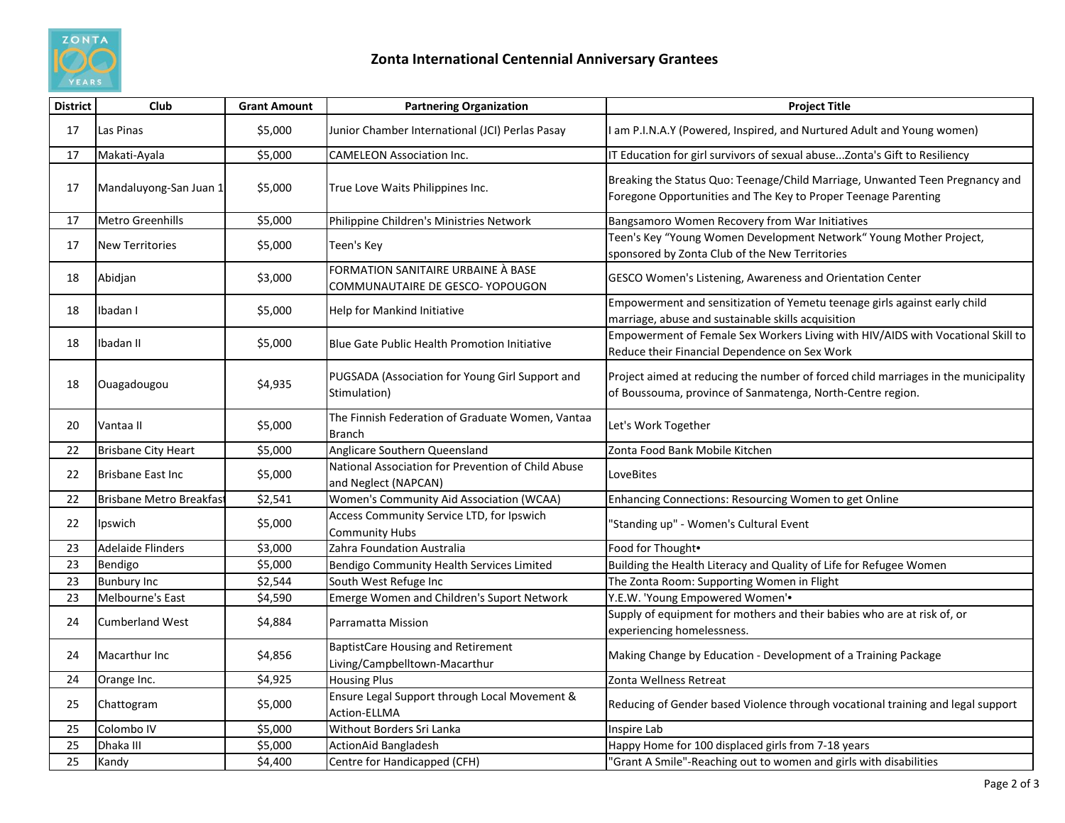

| <b>District</b> | Club                           | <b>Grant Amount</b> | <b>Partnering Organization</b>                                             | <b>Project Title</b>                                                                                                                             |
|-----------------|--------------------------------|---------------------|----------------------------------------------------------------------------|--------------------------------------------------------------------------------------------------------------------------------------------------|
| 17              | Las Pinas                      | \$5,000             | Junior Chamber International (JCI) Perlas Pasay                            | am P.I.N.A.Y (Powered, Inspired, and Nurtured Adult and Young women)                                                                             |
| 17              | Makati-Ayala                   | \$5,000             | <b>CAMELEON Association Inc.</b>                                           | IT Education for girl survivors of sexual abuse Zonta's Gift to Resiliency                                                                       |
| 17              | Mandaluyong-San Juan 1         | \$5,000             | True Love Waits Philippines Inc.                                           | Breaking the Status Quo: Teenage/Child Marriage, Unwanted Teen Pregnancy and<br>Foregone Opportunities and The Key to Proper Teenage Parenting   |
| 17              | <b>Metro Greenhills</b>        | \$5,000             | Philippine Children's Ministries Network                                   | Bangsamoro Women Recovery from War Initiatives                                                                                                   |
| 17              | <b>New Territories</b>         | \$5,000             | Teen's Key                                                                 | Teen's Key "Young Women Development Network" Young Mother Project,<br>sponsored by Zonta Club of the New Territories                             |
| 18              | Abidjan                        | \$3,000             | FORMATION SANITAIRE URBAINE À BASE<br>COMMUNAUTAIRE DE GESCO- YOPOUGON     | GESCO Women's Listening, Awareness and Orientation Center                                                                                        |
| 18              | Ibadan I                       | \$5,000             | Help for Mankind Initiative                                                | Empowerment and sensitization of Yemetu teenage girls against early child<br>marriage, abuse and sustainable skills acquisition                  |
| 18              | Ibadan II                      | \$5,000             | Blue Gate Public Health Promotion Initiative                               | Empowerment of Female Sex Workers Living with HIV/AIDS with Vocational Skill to<br>Reduce their Financial Dependence on Sex Work                 |
| 18              | Ouagadougou                    | \$4,935             | PUGSADA (Association for Young Girl Support and<br>Stimulation)            | Project aimed at reducing the number of forced child marriages in the municipality<br>of Boussouma, province of Sanmatenga, North-Centre region. |
| 20              | Vantaa II                      | \$5,000             | The Finnish Federation of Graduate Women, Vantaa<br><b>Branch</b>          | Let's Work Together                                                                                                                              |
| 22              | <b>Brisbane City Heart</b>     | \$5,000             | Anglicare Southern Queensland                                              | Zonta Food Bank Mobile Kitchen                                                                                                                   |
| 22              | <b>Brisbane East Inc</b>       | \$5,000             | National Association for Prevention of Child Abuse<br>and Neglect (NAPCAN) | LoveBites                                                                                                                                        |
| 22              | <b>Brisbane Metro Breakfas</b> | \$2,541             | Women's Community Aid Association (WCAA)                                   | Enhancing Connections: Resourcing Women to get Online                                                                                            |
| 22              | Ipswich                        | \$5,000             | Access Community Service LTD, for Ipswich<br><b>Community Hubs</b>         | 'Standing up" - Women's Cultural Event                                                                                                           |
| 23              | <b>Adelaide Flinders</b>       | \$3,000             | Zahra Foundation Australia                                                 | Food for Thought.                                                                                                                                |
| 23              | Bendigo                        | \$5,000             | Bendigo Community Health Services Limited                                  | Building the Health Literacy and Quality of Life for Refugee Women                                                                               |
| 23              | <b>Bunbury Inc</b>             | \$2,544             | South West Refuge Inc                                                      | The Zonta Room: Supporting Women in Flight                                                                                                       |
| 23              | Melbourne's East               | \$4,590             | Emerge Women and Children's Suport Network                                 | Y.E.W. 'Young Empowered Women'.                                                                                                                  |
| 24              | <b>Cumberland West</b>         | \$4,884             | Parramatta Mission                                                         | Supply of equipment for mothers and their babies who are at risk of, or<br>experiencing homelessness.                                            |
| 24              | Macarthur Inc                  | \$4,856             | <b>BaptistCare Housing and Retirement</b><br>Living/Campbelltown-Macarthur | Making Change by Education - Development of a Training Package                                                                                   |
| 24              | Orange Inc.                    | \$4,925             | <b>Housing Plus</b>                                                        | Zonta Wellness Retreat                                                                                                                           |
| 25              | Chattogram                     | \$5,000             | Ensure Legal Support through Local Movement &<br>Action-ELLMA              | Reducing of Gender based Violence through vocational training and legal support                                                                  |
| 25              | Colombo IV                     | \$5,000             | Without Borders Sri Lanka                                                  | Inspire Lab                                                                                                                                      |
| 25              | Dhaka III                      | \$5,000             | <b>ActionAid Bangladesh</b>                                                | Happy Home for 100 displaced girls from 7-18 years                                                                                               |
| 25              | Kandy                          | \$4,400             | Centre for Handicapped (CFH)                                               | 'Grant A Smile"-Reaching out to women and girls with disabilities                                                                                |